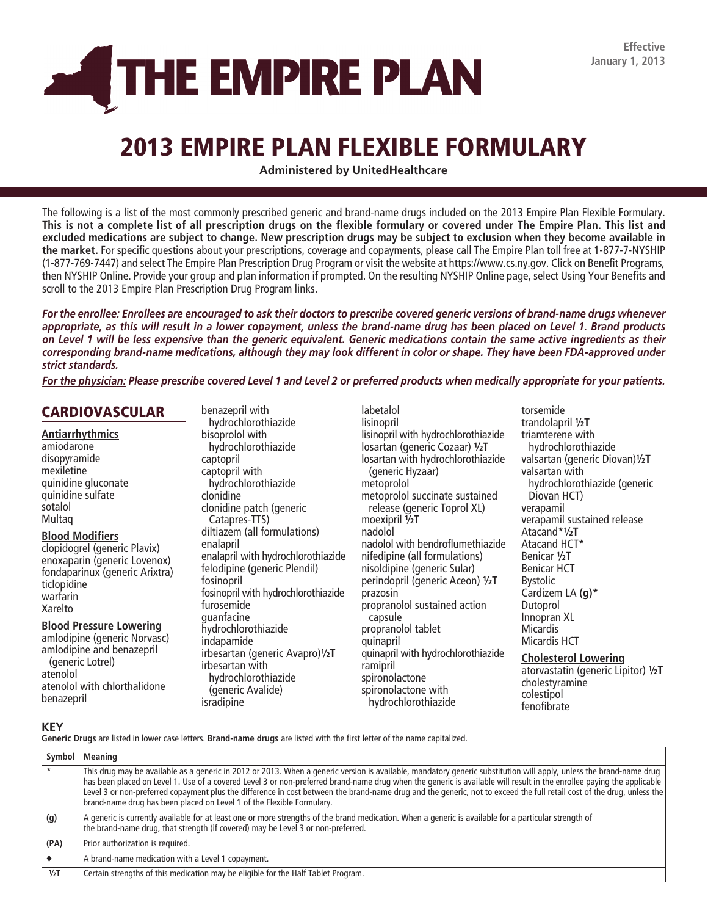

# 2013 EMPIRE PLAN FLEXIBLE FORMULARY

**Administered by UnitedHealthcare**

The following is a list of the most commonly prescribed generic and brand-name drugs included on the 2013 Empire Plan Flexible Formulary. **This is not a complete list of all prescription drugs on the flexible formulary or covered under The Empire Plan. This list and excluded medications are subject to change. New prescription drugs may be subject to exclusion when they become available in the market.** For specific questions about your prescriptions, coverage and copayments, please call The Empire Plan toll free at 1-877-7-NYSHIP (1-877-769-7447) and select The Empire Plan Prescription Drug Program or visit the website at https://www.cs.ny.gov. Click on Benefit Programs, then NYSHIP Online. Provide your group and plan information if prompted. On the resulting NYSHIP Online page, select Using Your Benefits and scroll to the 2013 Empire Plan Prescription Drug Program links.

*For the enrollee: Enrollees are encouraged to ask their doctors to prescribe covered generic versions of brand-name drugs whenever appropriate, as this will result in a lower copayment, unless the brand-name drug has been placed on Level 1. Brand products on Level 1 will be less expensive than the generic equivalent. Generic medications contain the same active ingredients as their corresponding brand-name medications, although they may look different in color or shape. They have been FDA-approved under strict standards.*

*For the physician: Please prescribe covered Level 1 and Level 2 or preferred products when medically appropriate for your patients.*

# CARDIOVASCULAR

#### **Antiarrhythmics**

amiodarone disopyramide mexiletine quinidine gluconate quinidine sulfate sotalol Multaq

#### **Blood Modifiers**

clopidogrel (generic Plavix) enoxaparin (generic Lovenox) fondaparinux (generic Arixtra) ticlopidine warfarin Xarelto

**Blood Pressure Lowering** amlodipine (generic Norvasc) amlodipine and benazepril (generic Lotrel) atenolol atenolol with chlorthalidone

bisoprolol with hydrochlorothiazide captopril captopril with hydrochlorothiazide clonidine clonidine patch (generic Catapres-TTS) diltiazem (all formulations) enalapril enalapril with hydrochlorothiazide felodipine (generic Plendil) fosinopril fosinopril with hydrochlorothiazide furosemide guanfacine hydrochlorothiazide indapamide irbesartan (generic Avapro)**½T** irbesartan with hydrochlorothiazide (generic Avalide)

benazepril with hydrochlorothiazide labetalol lisinopril lisinopril with hydrochlorothiazide losartan (generic Cozaar) **½T** losartan with hydrochlorothiazide (generic Hyzaar) metoprolol metoprolol succinate sustained release (generic Toprol XL) moexipril **½T** nadolol nadolol with bendroflumethiazide nifedipine (all formulations) nisoldipine (generic Sular) perindopril (generic Aceon) **½T** prazosin propranolol sustained action capsule propranolol tablet quinapril quinapril with hydrochlorothiazide ramipril spironolactone spironolactone with hydrochlorothiazide

torsemide trandolapril **½T** triamterene with hydrochlorothiazide valsartan (generic Diovan)**½T** valsartan with hydrochlorothiazide (generic Diovan HCT) verapamil verapamil sustained release Atacand**\*½T** Atacand HCT**\*** Benicar **½T** Benicar HCT Bystolic Cardizem LA **(g)\*** Dutoprol Innopran XL **Micardis** Micardis HCT **Cholesterol Lowering** atorvastatin (generic Lipitor) **½T** cholestyramine

colestipol fenofibrate

### **KEY**

benazepril

**Generic Drugs** are listed in lower case letters. **Brand-name drugs** are listed with the first letter of the name capitalized.

isradipine

| Symbol | <b>Meaning</b>                                                                                                                                                                                                                                                                                                                                                                                                                                                                                                                                                                                  |
|--------|-------------------------------------------------------------------------------------------------------------------------------------------------------------------------------------------------------------------------------------------------------------------------------------------------------------------------------------------------------------------------------------------------------------------------------------------------------------------------------------------------------------------------------------------------------------------------------------------------|
|        | This drug may be available as a generic in 2012 or 2013. When a generic version is available, mandatory generic substitution will apply, unless the brand-name drug<br>has been placed on Level 1. Use of a covered Level 3 or non-preferred brand-name drug when the generic is available will result in the enrollee paying the applicable<br>Level 3 or non-preferred copayment plus the difference in cost between the brand-name drug and the generic, not to exceed the full retail cost of the drug, unless the<br>brand-name drug has been placed on Level 1 of the Flexible Formulary. |
| (g)    | A generic is currently available for at least one or more strengths of the brand medication. When a generic is available for a particular strength of<br>the brand-name drug, that strength (if covered) may be Level 3 or non-preferred.                                                                                                                                                                                                                                                                                                                                                       |
| (PA)   | Prior authorization is required.                                                                                                                                                                                                                                                                                                                                                                                                                                                                                                                                                                |
|        | A brand-name medication with a Level 1 copayment.                                                                                                                                                                                                                                                                                                                                                                                                                                                                                                                                               |
| 1/2T   | Certain strengths of this medication may be eligible for the Half Tablet Program.                                                                                                                                                                                                                                                                                                                                                                                                                                                                                                               |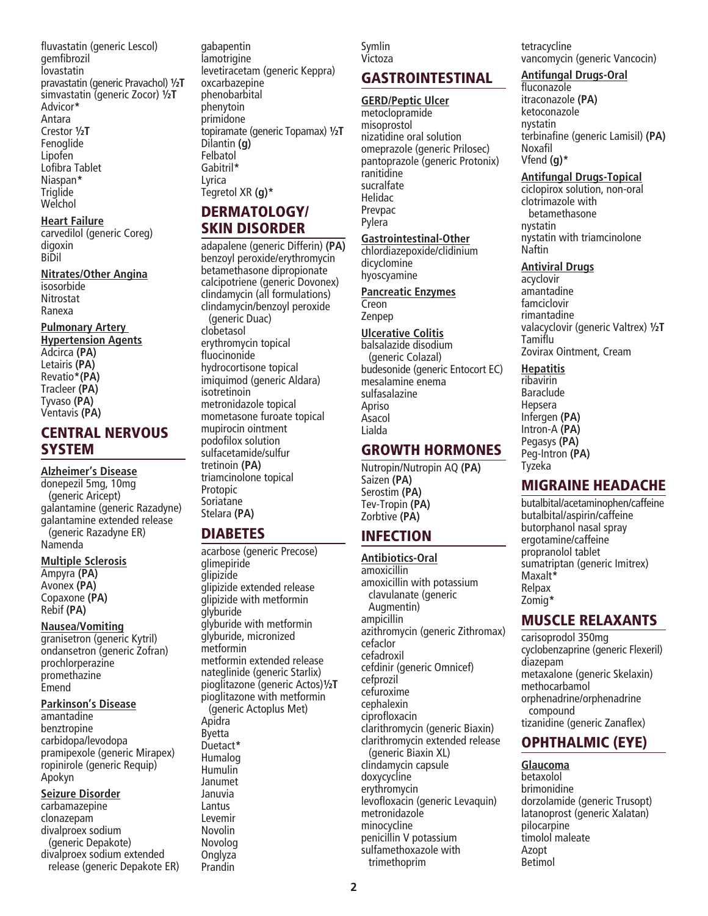fluvastatin (generic Lescol) gemfibrozil lovastatin pravastatin (generic Pravachol) **½T** simvastatin (generic Zocor) **½T** Advicor**\*** Antara Crestor **½T Fenoglide** Lipofen Lofibra Tablet Niaspan**\* Triglide Welchol** 

#### **Heart Failure**

carvedilol (generic Coreg) digoxin BiDil

**Nitrates/Other Angina** isosorbide Nitrostat Ranexa

**Pulmonary Artery** 

**Hypertension Agents** Adcirca **(PA)** Letairis **(PA)**  Revatio**\*(PA)** Tracleer **(PA)** Tyvaso **(PA)** Ventavis **(PA)**

### CENTRAL NERVOUS **SYSTEM**

**Alzheimer's Disease** donepezil 5mg, 10mg (generic Aricept) galantamine (generic Razadyne) galantamine extended release (generic Razadyne ER) Namenda

**Multiple Sclerosis** Ampyra **(PA)** Avonex **(PA)** Copaxone **(PA)** Rebif **(PA)**

**Nausea/Vomiting** granisetron (generic Kytril) ondansetron (generic Zofran) prochlorperazine promethazine Emend

**Parkinson's Disease**

amantadine benztropine carbidopa/levodopa pramipexole (generic Mirapex) ropinirole (generic Requip) Apokyn

### **Seizure Disorder**

carbamazepine clonazepam divalproex sodium (generic Depakote) divalproex sodium extended release (generic Depakote ER) gabapentin lamotrigine levetiracetam (generic Keppra) oxcarbazepine phenobarbital phenytoin primidone topiramate (generic Topamax) **½T** Dilantin **(g)** Felbatol Gabitril**\*** Lyrica Tegretol XR **(g)\***

### DERMATOLOGY/ SKIN DISORDER

adapalene (generic Differin) **(PA)** benzoyl peroxide/erythromycin betamethasone dipropionate calcipotriene (generic Dovonex) clindamycin (all formulations) clindamycin/benzoyl peroxide (generic Duac) clobetasol erythromycin topical fluocinonide hydrocortisone topical imiquimod (generic Aldara) isotretinoin metronidazole topical mometasone furoate topical mupirocin ointment podofilox solution sulfacetamide/sulfur tretinoin **(PA)** triamcinolone topical Protopic **Soriatane** Stelara **(PA)**

### DIABETES

acarbose (generic Precose) glimepiride glipizide glipizide extended release glipizide with metformin glyburide glyburide with metformin glyburide, micronized metformin metformin extended release nateglinide (generic Starlix) pioglitazone (generic Actos)**½T** pioglitazone with metformin (generic Actoplus Met) Apidra Byetta Duetact**\*** Humalog **Humulin** Janumet Januvia Lantus Levemir Novolin Novolog **Onglyza** Prandin

Symlin Victoza

# GASTROINTESTINAL

**GERD/Peptic Ulcer** metoclopramide misoprostol nizatidine oral solution omeprazole (generic Prilosec) pantoprazole (generic Protonix) ranitidine sucralfate Helidac Prevpac Pylera

### **Gastrointestinal-Other**

chlordiazepoxide/clidinium dicyclomine hyoscyamine

#### **Pancreatic Enzymes**

Creon Zenpep

### **Ulcerative Colitis**

balsalazide disodium (generic Colazal) budesonide (generic Entocort EC) mesalamine enema sulfasalazine Apriso Asacol Lialda

### GROWTH HORMONES

Nutropin/Nutropin AQ **(PA)** Saizen **(PA)** Serostim **(PA)** Tev-Tropin **(PA)** Zorbtive **(PA)**

### INFECTION

**Antibiotics-Oral** amoxicillin amoxicillin with potassium clavulanate (generic Augmentin) ampicillin azithromycin (generic Zithromax) cefaclor cefadroxil cefdinir (generic Omnicef) cefprozil cefuroxime cephalexin ciprofloxacin clarithromycin (generic Biaxin) clarithromycin extended release (generic Biaxin XL) clindamycin capsule doxycycline erythromycin levofloxacin (generic Levaquin) metronidazole minocycline penicillin V potassium sulfamethoxazole with trimethoprim

tetracycline vancomycin (generic Vancocin)

### **Antifungal Drugs-Oral**

fluconazole itraconazole **(PA)** ketoconazole nystatin terbinafine (generic Lamisil) **(PA)** Noxafil Vfend **(g)\***

#### **Antifungal Drugs-Topical**

ciclopirox solution, non-oral clotrimazole with betamethasone nystatin nystatin with triamcinolone Naftin

#### **Antiviral Drugs**

acyclovir amantadine famciclovir rimantadine valacyclovir (generic Valtrex) **½T** Tamiflu Zovirax Ointment, Cream

### **Hepatitis**

ribavirin Baraclude Hepsera Infergen **(PA)** Intron-A **(PA)** Pegasys **(PA)** Peg-Intron **(PA)** Tyzeka

### MIGRAINE HEADACHE

butalbital/acetaminophen/caffeine butalbital/aspirin/caffeine butorphanol nasal spray ergotamine/caffeine propranolol tablet sumatriptan (generic Imitrex) Maxalt**\*** Relpax Zomig**\***

### MUSCLE RELAXANTS

carisoprodol 350mg cyclobenzaprine (generic Flexeril) diazepam metaxalone (generic Skelaxin) methocarbamol orphenadrine/orphenadrine compound tizanidine (generic Zanaflex)

### OPHTHALMIC (EYE)

**Glaucoma** betaxolol brimonidine dorzolamide (generic Trusopt) latanoprost (generic Xalatan) pilocarpine timolol maleate Azont Betimol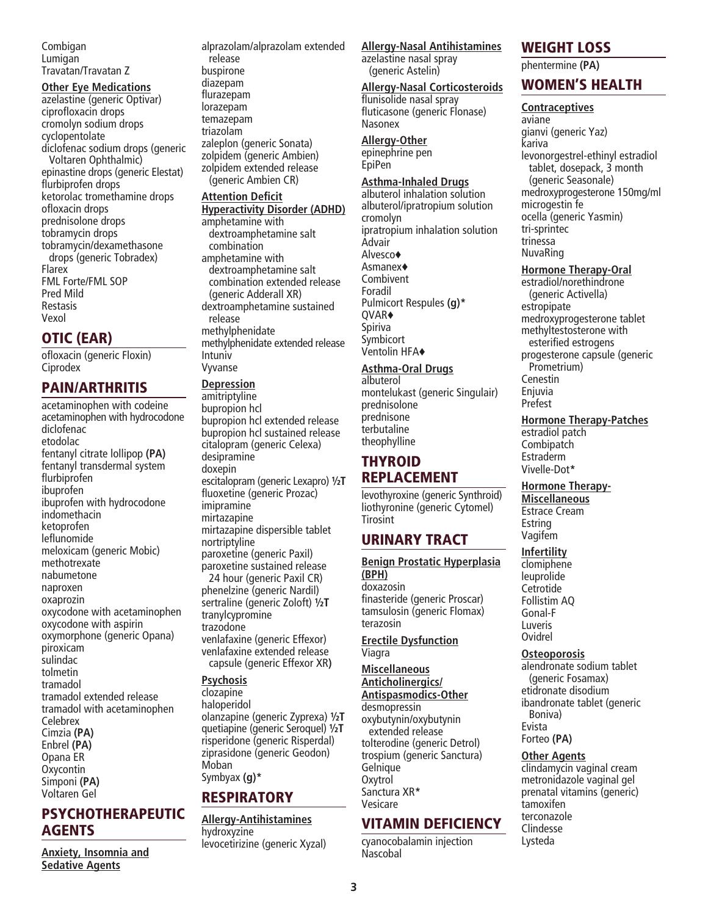Combigan Lumigan Travatan/Travatan Z

**Other Eye Medications** azelastine (generic Optivar) ciprofloxacin drops cromolyn sodium drops cyclopentolate diclofenac sodium drops (generic Voltaren Ophthalmic) epinastine drops (generic Elestat) flurbiprofen drops ketorolac tromethamine drops ofloxacin drops prednisolone drops tobramycin drops tobramycin/dexamethasone drops (generic Tobradex) **Flarex** FML Forte/FML SOP Pred Mild Restasis Vexol

# OTIC (EAR)

ofloxacin (generic Floxin) Ciprodex

### PAIN/ARTHRITIS

acetaminophen with codeine acetaminophen with hydrocodone diclofenac etodolac fentanyl citrate lollipop **(PA)** fentanyl transdermal system flurbiprofen ibuprofen ibuprofen with hydrocodone indomethacin ketoprofen leflunomide meloxicam (generic Mobic) methotrexate nabumetone naproxen oxaprozin oxycodone with acetaminophen oxycodone with aspirin oxymorphone (generic Opana) piroxicam sulindac tolmetin tramadol tramadol extended release tramadol with acetaminophen Celebrex Cimzia **(PA)** Enbrel **(PA)** Opana ER **Oxycontin** Simponi **(PA)** Voltaren Gel

# PSYCHOTHERAPEUTIC AGENTS

**Anxiety, Insomnia and Sedative Agents**

alprazolam/alprazolam extended release buspirone diazepam flurazepam lorazepam temazepam triazolam zaleplon (generic Sonata) zolpidem (generic Ambien) zolpidem extended release (generic Ambien CR)

### **Attention Deficit**

**Hyperactivity Disorder (ADHD)** amphetamine with dextroamphetamine salt combination amphetamine with dextroamphetamine salt combination extended release (generic Adderall XR) dextroamphetamine sustained release methylphenidate methylphenidate extended release Intuniv Vyvanse

### **Depression**

amitriptyline bupropion hcl bupropion hcl extended release bupropion hcl sustained release citalopram (generic Celexa) desipramine doxepin escitalopram (generic Lexapro) **½T** fluoxetine (generic Prozac) imipramine mirtazapine mirtazapine dispersible tablet nortriptyline paroxetine (generic Paxil) paroxetine sustained release 24 hour (generic Paxil CR) phenelzine (generic Nardil) sertraline (generic Zoloft) **½T** tranylcypromine trazodone venlafaxine (generic Effexor) venlafaxine extended release capsule (generic Effexor XR**)**

### **Psychosis**

clozapine haloperidol olanzapine (generic Zyprexa) **½T** quetiapine (generic Seroquel) **½T** risperidone (generic Risperdal) ziprasidone (generic Geodon) Moban Symbyax **(g)\***

# **RESPIRATORY**

**Allergy-Antihistamines** hydroxyzine levocetirizine (generic Xyzal)

### **Allergy-Nasal Antihistamines**

azelastine nasal spray (generic Astelin)

### **Allergy-Nasal Corticosteroids**

flunisolide nasal spray fluticasone (generic Flonase) Nasonex

### **Allergy-Other**

epinephrine pen **EpiPen** 

**Asthma-Inhaled Drugs** albuterol inhalation solution albuterol/ipratropium solution cromolyn ipratropium inhalation solution Advair Alvesco♦ Asmanex♦ Combivent Foradil Pulmicort Respules **(g)\*** QVAR♦ Spiriva Symbicort Ventolin HFA♦

### **Asthma-Oral Drugs**

albuterol montelukast (generic Singulair) prednisolone prednisone terbutaline theophylline

### THYROID REPLACEMENT

levothyroxine (generic Synthroid) liothyronine (generic Cytomel) Tirosint

# URINARY TRACT

**Benign Prostatic Hyperplasia (BPH)** doxazosin finasteride (generic Proscar) tamsulosin (generic Flomax) terazosin

**Erectile Dysfunction** Viagra

**Miscellaneous Anticholinergics/ Antispasmodics-Other** desmopressin oxybutynin/oxybutynin extended release

tolterodine (generic Detrol) trospium (generic Sanctura) Gelnique Oxytrol Sanctura XR**\*** Vesicare

### VITAMIN DEFICIENCY

cyanocobalamin injection Nascobal

## WEIGHT LOSS

phentermine **(PA)**

### WOMEN'S HEALTH

**Contraceptives** aviane gianvi (generic Yaz) kariva levonorgestrel-ethinyl estradiol tablet, dosepack, 3 month (generic Seasonale) medroxyprogesterone 150mg/ml microgestin fe ocella (generic Yasmin) tri-sprintec trinessa NuvaRing

### **Hormone Therapy-Oral**

estradiol/norethindrone (generic Activella) estropipate medroxyprogesterone tablet methyltestosterone with esterified estrogens progesterone capsule (generic Prometrium) Cenestin Enjuvia Prefest

#### **Hormone Therapy-Patches** estradiol patch Combipatch Estraderm Vivelle-Dot**\***

**Hormone Therapy-Miscellaneous** Estrace Cream Estring

### Vagifem **Infertility**

clomiphene leuprolide Cetrotide Follistim AQ Gonal-F Luveris Ovidrel

### **Osteoporosis**

alendronate sodium tablet (generic Fosamax) etidronate disodium ibandronate tablet (generic Boniva) Evista Forteo **(PA)**

### **Other Agents**

clindamycin vaginal cream metronidazole vaginal gel prenatal vitamins (generic) tamoxifen terconazole Clindesse Lysteda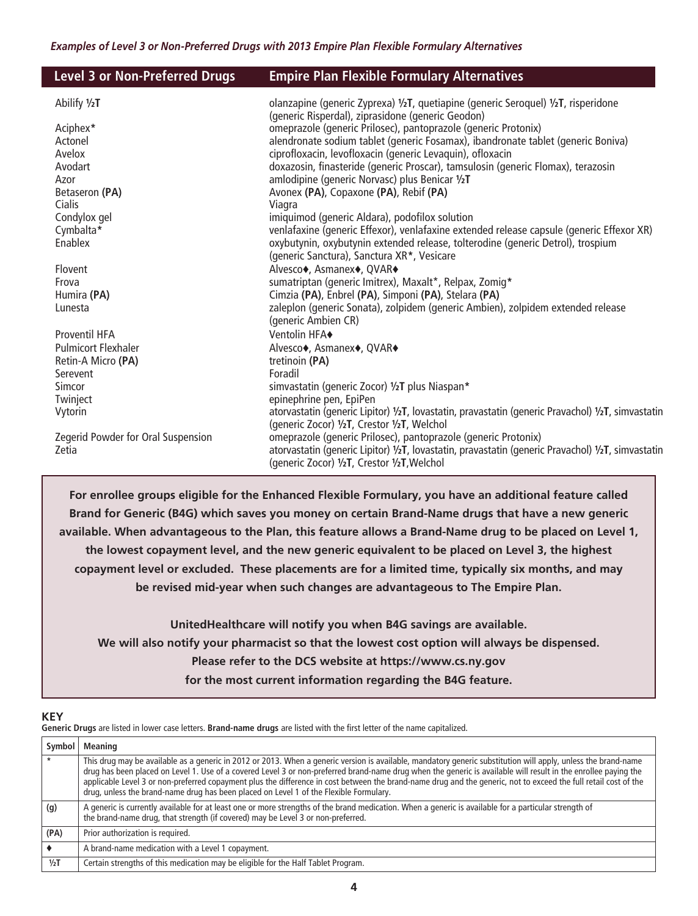| <b>Empire Plan Flexible Formulary Alternatives</b>                                                                                                |
|---------------------------------------------------------------------------------------------------------------------------------------------------|
| olanzapine (generic Zyprexa) 1/2T, quetiapine (generic Seroquel) 1/2T, risperidone<br>(generic Risperdal), ziprasidone (generic Geodon)           |
| omeprazole (generic Prilosec), pantoprazole (generic Protonix)                                                                                    |
| alendronate sodium tablet (generic Fosamax), ibandronate tablet (generic Boniva)                                                                  |
| ciprofloxacin, levofloxacin (generic Levaquin), ofloxacin                                                                                         |
| doxazosin, finasteride (generic Proscar), tamsulosin (generic Flomax), terazosin                                                                  |
| amlodipine (generic Norvasc) plus Benicar 1/2T                                                                                                    |
| Avonex (PA), Copaxone (PA), Rebif (PA)                                                                                                            |
| Viagra                                                                                                                                            |
| imiquimod (generic Aldara), podofilox solution                                                                                                    |
| venlafaxine (generic Effexor), venlafaxine extended release capsule (generic Effexor XR)                                                          |
| oxybutynin, oxybutynin extended release, tolterodine (generic Detrol), trospium<br>(generic Sanctura), Sanctura XR*, Vesicare                     |
| Alvesco◆, Asmanex◆, QVAR◆                                                                                                                         |
| sumatriptan (generic Imitrex), Maxalt*, Relpax, Zomig*                                                                                            |
| Cimzia (PA), Enbrel (PA), Simponi (PA), Stelara (PA)                                                                                              |
| zaleplon (generic Sonata), zolpidem (generic Ambien), zolpidem extended release<br>(generic Ambien CR)                                            |
| Ventolin HFA◆                                                                                                                                     |
| Alvesco◆, Asmanex◆, QVAR◆                                                                                                                         |
| tretinoin (PA)                                                                                                                                    |
| Foradil                                                                                                                                           |
| simvastatin (generic Zocor) 1/2T plus Niaspan*                                                                                                    |
| epinephrine pen, EpiPen                                                                                                                           |
| atorvastatin (generic Lipitor) 1/2T, lovastatin, pravastatin (generic Pravachol) 1/2T, simvastatin<br>(generic Zocor) 1/2T, Crestor 1/2T, Welchol |
| omeprazole (generic Prilosec), pantoprazole (generic Protonix)                                                                                    |
| atorvastatin (generic Lipitor) 1/2T, lovastatin, pravastatin (generic Pravachol) 1/2T, simvastatin<br>(generic Zocor) 1/2T, Crestor 1/2T, Welchol |
|                                                                                                                                                   |

**For enrollee groups eligible for the Enhanced Flexible Formulary, you have an additional feature called Brand for Generic (B4G) which saves you money on certain Brand-Name drugs that have a new generic available. When advantageous to the Plan, this feature allows a Brand-Name drug to be placed on Level 1, the lowest copayment level, and the new generic equivalent to be placed on Level 3, the highest copayment level or excluded. These placements are for a limited time, typically six months, and may be revised mid-year when such changes are advantageous to The Empire Plan.**

**UnitedHealthcare will notify you when B4G savings are available. We will also notify your pharmacist so that the lowest cost option will always be dispensed. Please refer to the DCS website at https://www.cs.ny.gov for the most current information regarding the B4G feature.**

### **KEY**

**Generic Drugs** are listed in lower case letters. **Brand-name drugs** are listed with the first letter of the name capitalized.

| Symbol | <b>Meaning</b>                                                                                                                                                                                                                                                                                                                                                                                                                                                                                                                                                                                  |
|--------|-------------------------------------------------------------------------------------------------------------------------------------------------------------------------------------------------------------------------------------------------------------------------------------------------------------------------------------------------------------------------------------------------------------------------------------------------------------------------------------------------------------------------------------------------------------------------------------------------|
|        | This drug may be available as a generic in 2012 or 2013. When a generic version is available, mandatory generic substitution will apply, unless the brand-name<br>drug has been placed on Level 1. Use of a covered Level 3 or non-preferred brand-name drug when the generic is available will result in the enrollee paying the<br>applicable Level 3 or non-preferred copayment plus the difference in cost between the brand-name drug and the generic, not to exceed the full retail cost of the<br>drug, unless the brand-name drug has been placed on Level 1 of the Flexible Formulary. |
| (g)    | A generic is currently available for at least one or more strengths of the brand medication. When a generic is available for a particular strength of<br>the brand-name drug, that strength (if covered) may be Level 3 or non-preferred.                                                                                                                                                                                                                                                                                                                                                       |
| (PA)   | Prior authorization is required.                                                                                                                                                                                                                                                                                                                                                                                                                                                                                                                                                                |
|        | A brand-name medication with a Level 1 copayment.                                                                                                                                                                                                                                                                                                                                                                                                                                                                                                                                               |
| 1/2T   | Certain strengths of this medication may be eligible for the Half Tablet Program.                                                                                                                                                                                                                                                                                                                                                                                                                                                                                                               |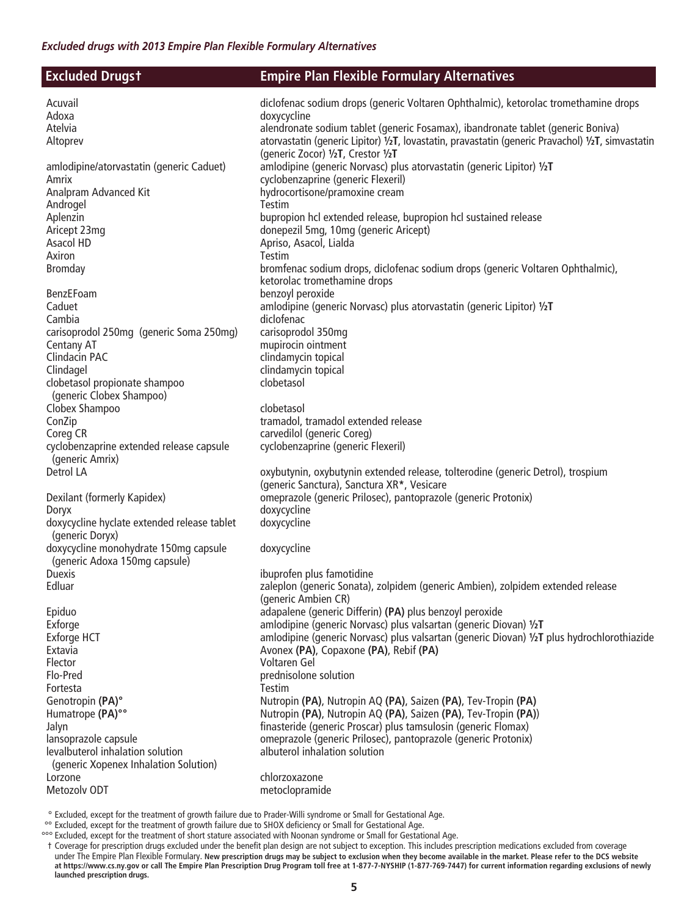| <b>Excluded Drugst</b>                                                 | <b>Empire Plan Flexible Formulary Alternatives</b>                                                                                                              |
|------------------------------------------------------------------------|-----------------------------------------------------------------------------------------------------------------------------------------------------------------|
| Acuvail                                                                | diclofenac sodium drops (generic Voltaren Ophthalmic), ketorolac tromethamine drops                                                                             |
| Adoxa                                                                  | doxycycline                                                                                                                                                     |
| Atelvia                                                                | alendronate sodium tablet (generic Fosamax), ibandronate tablet (generic Boniva)                                                                                |
| Altoprev                                                               | atorvastatin (generic Lipitor) 1/2T, lovastatin, pravastatin (generic Pravachol) 1/2T, simvastatin<br>(generic Zocor) 1/2T, Crestor 1/2T                        |
| amlodipine/atorvastatin (generic Caduet)<br>Amrix                      | amlodipine (generic Norvasc) plus atorvastatin (generic Lipitor) 1/2T<br>cyclobenzaprine (generic Flexeril)                                                     |
| Analpram Advanced Kit                                                  | hydrocortisone/pramoxine cream                                                                                                                                  |
| Androgel                                                               | <b>Testim</b>                                                                                                                                                   |
| Aplenzin                                                               | bupropion hcl extended release, bupropion hcl sustained release                                                                                                 |
| Aricept 23mg                                                           | donepezil 5mg, 10mg (generic Aricept)                                                                                                                           |
| Asacol HD                                                              | Apriso, Asacol, Lialda                                                                                                                                          |
| Axiron                                                                 | Testim                                                                                                                                                          |
| Bromday                                                                | bromfenac sodium drops, diclofenac sodium drops (generic Voltaren Ophthalmic),<br>ketorolac tromethamine drops                                                  |
| BenzEFoam                                                              | benzoyl peroxide                                                                                                                                                |
| Caduet                                                                 | amlodipine (generic Norvasc) plus atorvastatin (generic Lipitor) 1/2T                                                                                           |
| Cambia                                                                 | diclofenac                                                                                                                                                      |
| carisoprodol 250mg (generic Soma 250mg)                                | carisoprodol 350mg                                                                                                                                              |
| Centany AT<br>Clindacin PAC                                            | mupirocin ointment                                                                                                                                              |
| Clindagel                                                              | clindamycin topical<br>clindamycin topical                                                                                                                      |
| clobetasol propionate shampoo                                          | clobetasol                                                                                                                                                      |
| (generic Clobex Shampoo)                                               |                                                                                                                                                                 |
| Clobex Shampoo                                                         | clobetasol                                                                                                                                                      |
| ConZip                                                                 | tramadol, tramadol extended release                                                                                                                             |
| Coreg CR                                                               | carvedilol (generic Coreg)                                                                                                                                      |
| cyclobenzaprine extended release capsule<br>(generic Amrix)            | cyclobenzaprine (generic Flexeril)                                                                                                                              |
| Detrol LA                                                              | oxybutynin, oxybutynin extended release, tolterodine (generic Detrol), trospium                                                                                 |
|                                                                        | (generic Sanctura), Sanctura XR*, Vesicare                                                                                                                      |
| Dexilant (formerly Kapidex)                                            | omeprazole (generic Prilosec), pantoprazole (generic Protonix)                                                                                                  |
| Doryx                                                                  | doxycycline                                                                                                                                                     |
| doxycycline hyclate extended release tablet<br>(generic Doryx)         | doxycycline                                                                                                                                                     |
| doxycycline monohydrate 150mg capsule<br>(generic Adoxa 150mg capsule) | doxycycline                                                                                                                                                     |
| <b>Duexis</b>                                                          | ibuprofen plus famotidine                                                                                                                                       |
| Edluar                                                                 | zaleplon (generic Sonata), zolpidem (generic Ambien), zolpidem extended release                                                                                 |
|                                                                        | (generic Ambien CR)                                                                                                                                             |
| Epiduo                                                                 | adapalene (generic Differin) (PA) plus benzoyl peroxide                                                                                                         |
| Exforge                                                                | amlodipine (generic Norvasc) plus valsartan (generic Diovan) 1/2T<br>amlodipine (generic Norvasc) plus valsartan (generic Diovan) 1/2T plus hydrochlorothiazide |
| Exforge HCT<br>Extavia                                                 | Avonex (PA), Copaxone (PA), Rebif (PA)                                                                                                                          |
| Flector                                                                | Voltaren Gel                                                                                                                                                    |
| Flo-Pred                                                               | prednisolone solution                                                                                                                                           |
| Fortesta                                                               | Testim                                                                                                                                                          |
| Genotropin (PA)°                                                       | Nutropin (PA), Nutropin AQ (PA), Saizen (PA), Tev-Tropin (PA)                                                                                                   |
| Humatrope (PA)°°                                                       | Nutropin (PA), Nutropin AQ (PA), Saizen (PA), Tev-Tropin (PA))                                                                                                  |
| Jalyn                                                                  | finasteride (generic Proscar) plus tamsulosin (generic Flomax)                                                                                                  |
| lansoprazole capsule                                                   | omeprazole (generic Prilosec), pantoprazole (generic Protonix)                                                                                                  |
| levalbuterol inhalation solution                                       | albuterol inhalation solution                                                                                                                                   |
| (generic Xopenex Inhalation Solution)                                  |                                                                                                                                                                 |
| Lorzone                                                                | chlorzoxazone                                                                                                                                                   |
| Metozolv ODT                                                           | metoclopramide                                                                                                                                                  |

<sup>°</sup> Excluded, except for the treatment of growth failure due to Prader-Willi syndrome or Small for Gestational Age.

<sup>°°</sup> Excluded, except for the treatment of growth failure due to SHOX deficiency or Small for Gestational Age.

<sup>°°°</sup> Excluded, except for the treatment of short stature associated with Noonan syndrome or Small for Gestational Age.

<sup>†</sup> Coverage for prescription drugs excluded under the benefit plan design are not subject to exception. This includes prescription medications excluded from coverage under The Empire Plan Flexible Formulary. New prescription drugs may be subject to exclusion when they become available in the market. Please refer to the DCS website<br>at https://www.cs.ny.gov or call The Empire Plan Prescr **launched prescription drugs.**